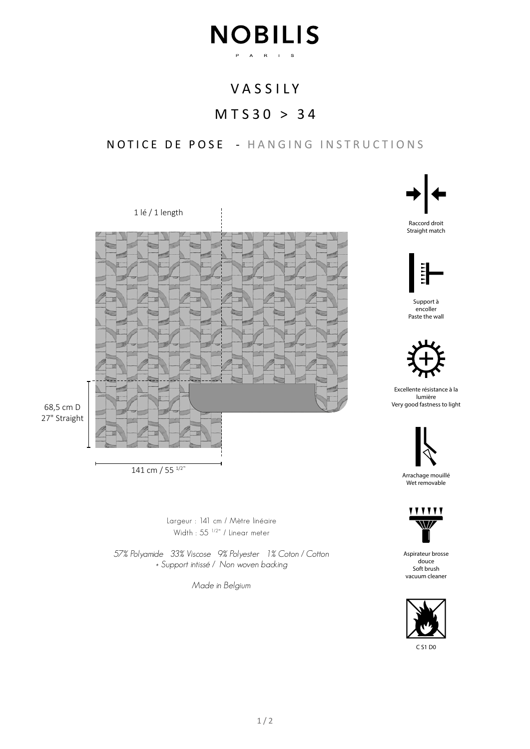## **NOBILIS** P A R I S

## VASSILY

## MTS30 > 34

NOTICE DE POSE - HANGING INSTRUCTIONS



141 cm / 55 1/2"

Largeur : 141 cm / Mètre linéaire Width : 55<sup>1/2"</sup> / Linear meter

57% Polyamide 33% Viscose 9% Polyester 1% Coton / Cotton + Support intissé / Non woven backing

Made in Belgium



Straight match



Support à encoller Paste the wall



Excellente résistance à la lumière Very good fastness to light



Arrachage mouillé Wet removable



Aspirateur brosse douce Soft brush vacuum cleaner



C S1 D0